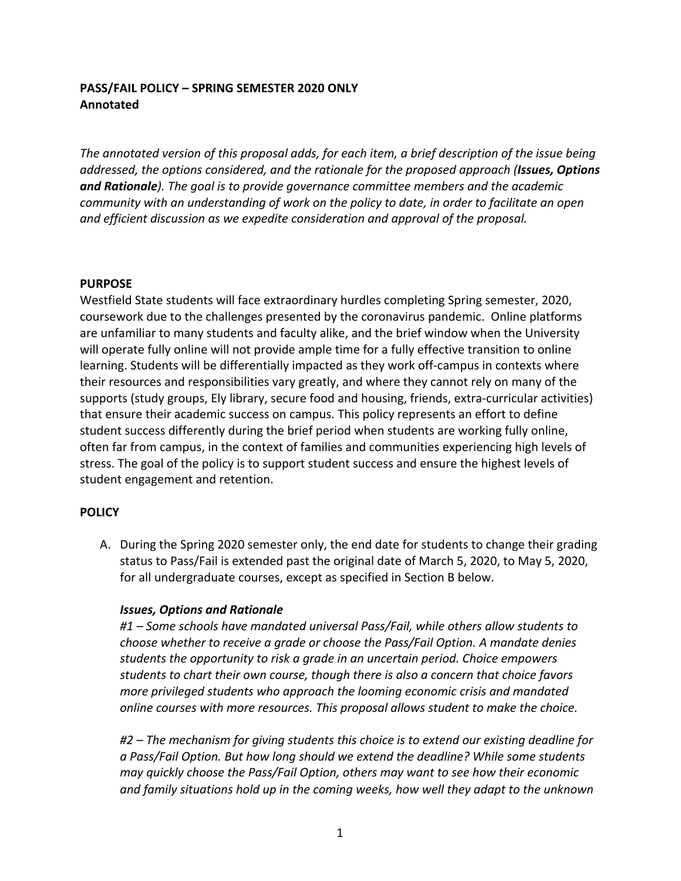# **PASS/FAIL POLICY – SPRING SEMESTER 2020 ONLY Annotated**

The annotated version of this proposal adds, for each item, a brief description of the issue being *addressed, the options considered, and the rationale for the proposed approach (Issues, Options*  **and Rationale**). The goal is to provide governance committee members and the academic *community* with an understanding of work on the policy to date, in order to facilitate an open *and efficient discussion as we expedite consideration and approval of the proposal.* 

#### **PURPOSE**

Westfield State students will face extraordinary hurdles completing Spring semester, 2020, coursework due to the challenges presented by the coronavirus pandemic. Online platforms are unfamiliar to many students and faculty alike, and the brief window when the University will operate fully online will not provide ample time for a fully effective transition to online learning. Students will be differentially impacted as they work off-campus in contexts where their resources and responsibilities vary greatly, and where they cannot rely on many of the supports (study groups, Ely library, secure food and housing, friends, extra-curricular activities) that ensure their academic success on campus. This policy represents an effort to define student success differently during the brief period when students are working fully online, often far from campus, in the context of families and communities experiencing high levels of stress. The goal of the policy is to support student success and ensure the highest levels of student engagement and retention.

# **POLICY**

A. During the Spring 2020 semester only, the end date for students to change their grading status to Pass/Fail is extended past the original date of March 5, 2020, to May 5, 2020, for all undergraduate courses, except as specified in Section B below.

# **Issues, Options and Rationale**

#1 – Some schools have mandated universal Pass/Fail, while others allow students to *choose* whether to receive a grade or choose the Pass/Fail Option. A mandate denies *students* the opportunity to risk a grade in an uncertain period. Choice empowers students to chart their own course, though there is also a concern that choice favors *more privileged students who approach the looming economic crisis and mandated online courses with more resources. This proposal allows student to make the choice.* 

#2 – The mechanism for giving students this choice is to extend our existing deadline for *a* Pass/Fail Option. But how long should we extend the deadline? While some students *may quickly choose the Pass/Fail Option, others may want to see how their economic* and family situations hold up in the coming weeks, how well they adapt to the unknown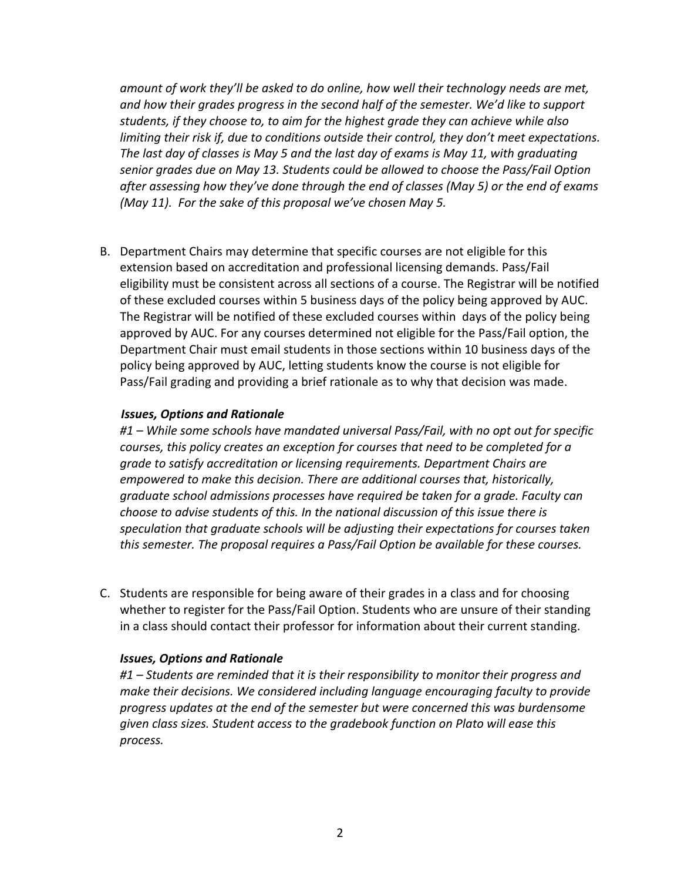*amount* of work they'll be asked to do online, how well their technology needs are met, and how their grades progress in the second half of the semester. We'd like to support students, if they choose to, to aim for the highest grade they can achieve while also *limiting their risk if, due to conditions outside their control, they don't meet expectations.* The last day of classes is May 5 and the last day of exams is May 11, with graduating senior grades due on May 13. Students could be allowed to choose the Pass/Fail Option *after assessing how they've done through the end of classes (May 5) or the end of exams (May 11). For the sake of this proposal we've chosen May 5.* 

B. Department Chairs may determine that specific courses are not eligible for this extension based on accreditation and professional licensing demands. Pass/Fail eligibility must be consistent across all sections of a course. The Registrar will be notified of these excluded courses within 5 business days of the policy being approved by AUC. The Registrar will be notified of these excluded courses within days of the policy being approved by AUC. For any courses determined not eligible for the Pass/Fail option, the Department Chair must email students in those sections within 10 business days of the policy being approved by AUC, letting students know the course is not eligible for Pass/Fail grading and providing a brief rationale as to why that decision was made.

#### **Issues, Options and Rationale**

#1 – While some schools have mandated universal Pass/Fail, with no opt out for specific *courses, this policy creates an exception for courses that need to be completed for a grade to satisfy accreditation or licensing requirements. Department Chairs are empowered to make this decision. There are additional courses that, historically,* graduate school admissions processes have required be taken for a grade. Faculty can *choose to advise students of this. In the national discussion of this issue there is* speculation that graduate schools will be adjusting their expectations for courses taken this semester. The proposal requires a Pass/Fail Option be available for these courses.

C. Students are responsible for being aware of their grades in a class and for choosing whether to register for the Pass/Fail Option. Students who are unsure of their standing in a class should contact their professor for information about their current standing.

#### *Issues, Options and Rationale*

#1 – Students are reminded that it is their responsibility to monitor their progress and make their decisions. We considered including language encouraging faculty to provide progress updates at the end of the semester but were concerned this was burdensome *given class sizes. Student access to the gradebook function on Plato will ease this process.*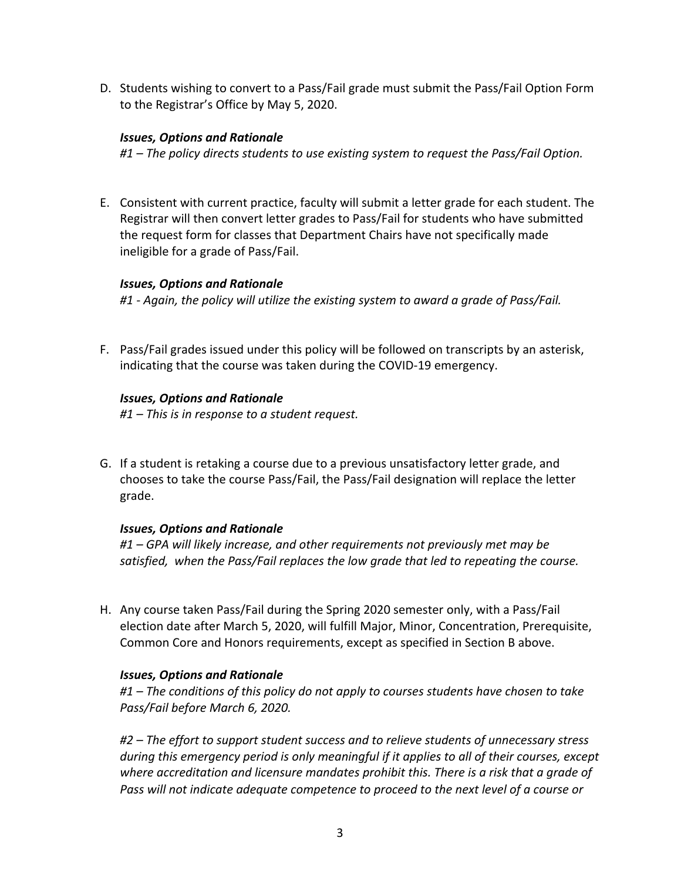D. Students wishing to convert to a Pass/Fail grade must submit the Pass/Fail Option Form to the Registrar's Office by May 5, 2020.

## *Issues, Options and Rationale*

#1 – The policy directs students to use existing system to request the Pass/Fail Option.

E. Consistent with current practice, faculty will submit a letter grade for each student. The Registrar will then convert letter grades to Pass/Fail for students who have submitted the request form for classes that Department Chairs have not specifically made ineligible for a grade of Pass/Fail.

### *Issues, Options and Rationale*

#1 - Again, the policy will utilize the existing system to award a grade of Pass/Fail.

F. Pass/Fail grades issued under this policy will be followed on transcripts by an asterisk, indicating that the course was taken during the COVID-19 emergency.

### **Issues, Options and Rationale**

*#1* – This is in response to a student request.

G. If a student is retaking a course due to a previous unsatisfactory letter grade, and chooses to take the course Pass/Fail, the Pass/Fail designation will replace the letter grade.

# *Issues, Options and Rationale*

#1 – GPA will likely increase, and other requirements not previously met may be satisfied, when the Pass/Fail replaces the low grade that led to repeating the course.

H. Any course taken Pass/Fail during the Spring 2020 semester only, with a Pass/Fail election date after March 5, 2020, will fulfill Major, Minor, Concentration, Prerequisite, Common Core and Honors requirements, except as specified in Section B above.

# *Issues, Options and Rationale*

#1 – The conditions of this policy do not apply to courses students have chosen to take *Pass/Fail before March 6, 2020.*

#2 – The effort to support student success and to relieve students of unnecessary stress during this emergency period is only meaningful if it applies to all of their courses, except where accreditation and licensure mandates prohibit this. There is a risk that a grade of Pass will not indicate adequate competence to proceed to the next level of a course or